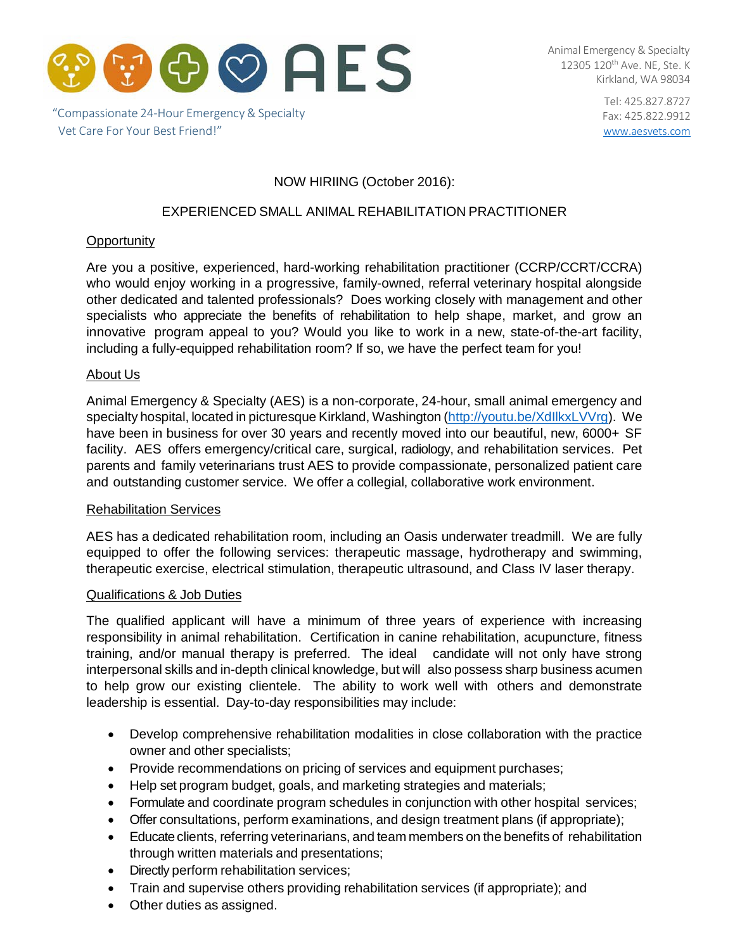

"Compassionate 24‐Hour Emergency & Specialty Vet Care For Your Best Friend!"

Animal Emergency & Specialty 12305 120<sup>th</sup> Ave. NE, Ste. K Kirkland, WA 98034

> Tel: 425.827.8727 Fax: 425.822.9912 [www.aesvets.com](http://www.aesvets.com/)

# NOW HIRIING (October 2016):

# EXPERIENCED SMALL ANIMAL REHABILITATION PRACTITIONER

## **Opportunity**

Are you a positive, experienced, hard-working rehabilitation practitioner (CCRP/CCRT/CCRA) who would enjoy working in a progressive, family-owned, referral veterinary hospital alongside other dedicated and talented professionals? Does working closely with management and other specialists who appreciate the benefits of rehabilitation to help shape, market, and grow an innovative program appeal to you? Would you like to work in a new, state-of-the-art facility, including a fully-equipped rehabilitation room? If so, we have the perfect team for you!

#### About Us

Animal Emergency & Specialty (AES) is a non-corporate, 24-hour, small animal emergency and specialty hospital, located in picturesque Kirkland, Washington [\(http://youtu.be/XdIlkxLVVrg\).](http://youtu.be/XdIlkxLVVrg)) We have been in business for over 30 years and recently moved into our beautiful, new, 6000+ SF facility. AES offers emergency/critical care, surgical, radiology, and rehabilitation services. Pet parents and family veterinarians trust AES to provide compassionate, personalized patient care and outstanding customer service. We offer a collegial, collaborative work environment.

#### Rehabilitation Services

AES has a dedicated rehabilitation room, including an Oasis underwater treadmill. We are fully equipped to offer the following services: therapeutic massage, hydrotherapy and swimming, therapeutic exercise, electrical stimulation, therapeutic ultrasound, and Class IV laser therapy.

#### Qualifications & Job Duties

The qualified applicant will have a minimum of three years of experience with increasing responsibility in animal rehabilitation. Certification in canine rehabilitation, acupuncture, fitness training, and/or manual therapy is preferred. The ideal candidate will not only have strong interpersonal skills and in-depth clinical knowledge, but will also possess sharp business acumen to help grow our existing clientele. The ability to work well with others and demonstrate leadership is essential. Day-to-day responsibilities may include:

- Develop comprehensive rehabilitation modalities in close collaboration with the practice owner and other specialists;
- Provide recommendations on pricing of services and equipment purchases;
- Help set program budget, goals, and marketing strategies and materials;
- Formulate and coordinate program schedules in conjunction with other hospital services;
- Offer consultations, perform examinations, and design treatment plans (if appropriate);
- Educate clients, referring veterinarians, and team members on the benefits of rehabilitation through written materials and presentations;
- Directly perform rehabilitation services;
- Train and supervise others providing rehabilitation services (if appropriate); and
- Other duties as assigned.